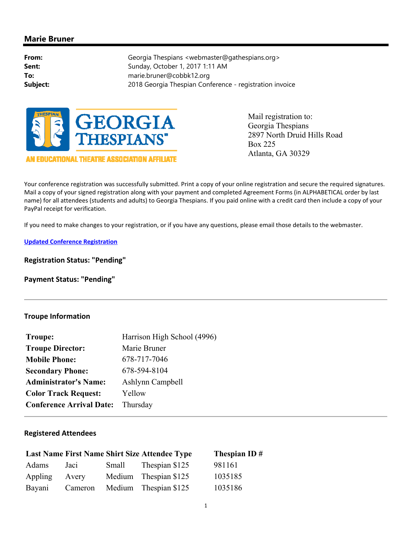## **Marie Bruner**

**From:** Georgia Thespians <webmaster@gathespians.org> **Sent:** Sunday, October 1, 2017 1:11 AM **To:** marie.bruner@cobbk12.org **Subject:** 2018 Georgia Thespian Conference - registration invoice



AN EDUCATIONAL THEATRE ASSOCIATION AFFILIATE

Mail registration to: Georgia Thespians 2897 North Druid Hills Road Box 225 Atlanta, GA 30329

Your conference registration was successfully submitted. Print a copy of your online registration and secure the required signatures. Mail a copy of your signed registration along with your payment and completed Agreement Forms (in ALPHABETICAL order by last name) for all attendees (students and adults) to Georgia Thespians. If you paid online with a credit card then include a copy of your PayPal receipt for verification.

If you need to make changes to your registration, or if you have any questions, please email those details to the webmaster.

**Updated Conference Registration**

**Registration Status: "Pending"** 

**Payment Status: "Pending"** 

## **Troupe Information**

| Harrison High School (4996) |
|-----------------------------|
| Marie Bruner                |
| 678-717-7046                |
| 678-594-8104                |
| Ashlynn Campbell            |
| Yellow                      |
| Thursday                    |
|                             |

## **Registered Attendees**

|         |       |       | Last Name First Name Shirt Size Attendee Type | Thespian ID $#$ |
|---------|-------|-------|-----------------------------------------------|-----------------|
| Adams   | Jaci  | Small | Thespian \$125                                | 981161          |
| Appling | Avery |       | Medium Thespian \$125                         | 1035185         |
| Bayani  |       |       | Cameron Medium Thespian \$125                 | 1035186         |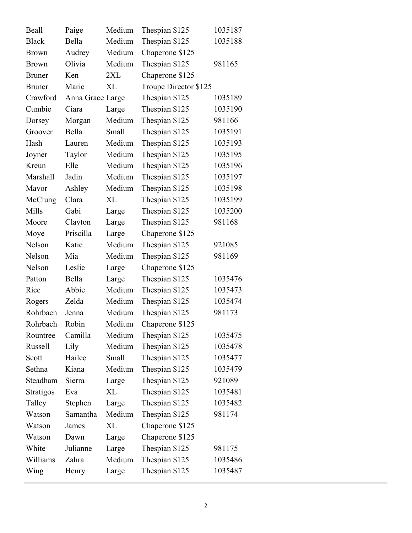| <b>Beall</b>     | Paige            | Medium | Thespian \$125        | 1035187 |
|------------------|------------------|--------|-----------------------|---------|
| <b>Black</b>     | Bella            | Medium | Thespian \$125        | 1035188 |
| <b>Brown</b>     | Audrey           | Medium | Chaperone \$125       |         |
| <b>Brown</b>     | Olivia           | Medium | Thespian \$125        | 981165  |
| <b>Bruner</b>    | Ken              | 2XL    | Chaperone \$125       |         |
| <b>Bruner</b>    | Marie            | XL     | Troupe Director \$125 |         |
| Crawford         | Anna Grace Large |        | Thespian \$125        | 1035189 |
| Cumbie           | Ciara            | Large  | Thespian \$125        | 1035190 |
| Dorsey           | Morgan           | Medium | Thespian \$125        | 981166  |
| Groover          | Bella            | Small  | Thespian \$125        | 1035191 |
| Hash             | Lauren           | Medium | Thespian \$125        | 1035193 |
| Joyner           | Taylor           | Medium | Thespian \$125        | 1035195 |
| Kreun            | Elle             | Medium | Thespian \$125        | 1035196 |
| Marshall         | Jadin            | Medium | Thespian \$125        | 1035197 |
| Mavor            | Ashley           | Medium | Thespian \$125        | 1035198 |
| McClung          | Clara            | XL     | Thespian \$125        | 1035199 |
| Mills            | Gabi             | Large  | Thespian \$125        | 1035200 |
| Moore            | Clayton          | Large  | Thespian \$125        | 981168  |
| Moye             | Priscilla        | Large  | Chaperone \$125       |         |
| Nelson           | Katie            | Medium | Thespian \$125        | 921085  |
| Nelson           | Mia              | Medium | Thespian \$125        | 981169  |
| Nelson           | Leslie           | Large  | Chaperone \$125       |         |
| Patton           | Bella            | Large  | Thespian \$125        | 1035476 |
| Rice             | Abbie            | Medium | Thespian \$125        | 1035473 |
| Rogers           | Zelda            | Medium | Thespian \$125        | 1035474 |
| Rohrbach         | Jenna            | Medium | Thespian \$125        | 981173  |
| Rohrbach         | Robin            | Medium | Chaperone \$125       |         |
| Rountree         | Camilla          | Medium | Thespian \$125        | 1035475 |
| <b>Russell</b>   | Lily             | Medium | Thespian \$125        | 1035478 |
| Scott            | Hailee           | Small  | Thespian \$125        | 1035477 |
| Sethna           | Kiana            | Medium | Thespian \$125        | 1035479 |
| Steadham         | Sierra           | Large  | Thespian \$125        | 921089  |
| <b>Stratigos</b> | Eva              | XL     | Thespian \$125        | 1035481 |
| Talley           | Stephen          | Large  | Thespian \$125        | 1035482 |
| Watson           | Samantha         | Medium | Thespian \$125        | 981174  |
| Watson           | James            | XL     | Chaperone \$125       |         |
| Watson           | Dawn             | Large  | Chaperone \$125       |         |
| White            | Julianne         | Large  | Thespian \$125        | 981175  |
| Williams         | Zahra            | Medium | Thespian \$125        | 1035486 |
| Wing             | Henry            | Large  | Thespian \$125        | 1035487 |
|                  |                  |        |                       |         |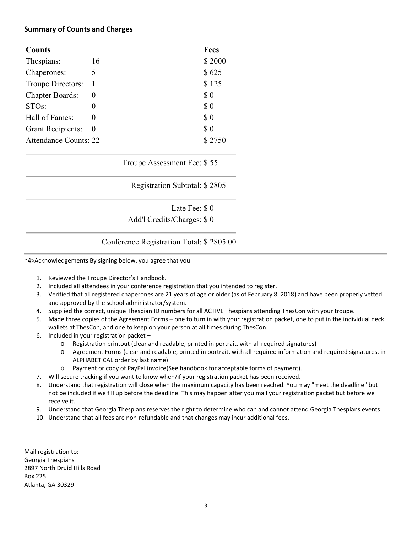## **Summary of Counts and Charges**

| <b>Counts</b>                |          | <b>Fees</b> |
|------------------------------|----------|-------------|
| Thespians:                   | 16       | \$2000      |
| Chaperones:                  | 5        | \$625       |
| Troupe Directors:            |          | \$125       |
| <b>Chapter Boards:</b>       | $\theta$ | \$0         |
| STO <sub>s</sub> :           |          | \$0         |
| Hall of Fames:               |          | \$0         |
| Grant Recipients: 0          |          | \$0         |
| <b>Attendance Counts: 22</b> |          | \$2750      |

Troupe Assessment Fee: \$ 55

Registration Subtotal: \$ 2805

Late Fee: \$ 0

Add'l Credits/Charges: \$ 0

Conference Registration Total: \$ 2805.00

h4>Acknowledgements By signing below, you agree that you:

- 1. Reviewed the Troupe Director's Handbook.
- 2. Included all attendees in your conference registration that you intended to register.
- 3. Verified that all registered chaperones are 21 years of age or older (as of February 8, 2018) and have been properly vetted and approved by the school administrator/system.
- 4. Supplied the correct, unique Thespian ID numbers for all ACTIVE Thespians attending ThesCon with your troupe.
- 5. Made three copies of the Agreement Forms one to turn in with your registration packet, one to put in the individual neck wallets at ThesCon, and one to keep on your person at all times during ThesCon.
- 6. Included in your registration packet
	- o Registration printout (clear and readable, printed in portrait, with all required signatures)
	- o Agreement Forms (clear and readable, printed in portrait, with all required information and required signatures, in ALPHABETICAL order by last name)
	- o Payment or copy of PayPal invoice(See handbook for acceptable forms of payment).
- 7. Will secure tracking if you want to know when/if your registration packet has been received.
- 8. Understand that registration will close when the maximum capacity has been reached. You may "meet the deadline" but not be included if we fill up before the deadline. This may happen after you mail your registration packet but before we receive it.
- 9. Understand that Georgia Thespians reserves the right to determine who can and cannot attend Georgia Thespians events.
- 10. Understand that all fees are non-refundable and that changes may incur additional fees.

Mail registration to: Georgia Thespians 2897 North Druid Hills Road Box 225 Atlanta, GA 30329